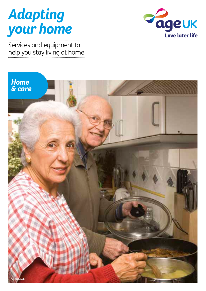# *Adapting your home*



Services and equipment to help you stay living at home

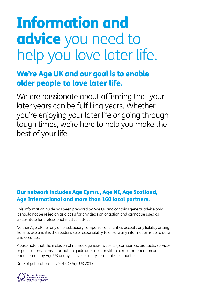# Information and **advice** you need to help you love later life.

### We're Age UK and our goal is to enable older people to love later life.

We are passionate about affirming that your later years can be fulfilling years. Whether you're enjoying your later life or going through tough times, we're here to help you make the best of your life.

### Our network includes Age Cymru, Age NI, Age Scotland, Age International and more than 160 local partners.

This information guide has been prepared by Age UK and contains general advice only, it should not be relied on as a basis for any decision or action and cannot be used as a substitute for professional medical advice.

Neither Age UK nor any of its subsidiary companies or charities accepts any liability arising from its use and it is the reader's sole responsibility to ensure any information is up to date and accurate.

Please note that the inclusion of named agencies, websites, companies, products, services or publications in this information guide does not constitute a recommendation or endorsement by Age UK or any of its subsidiary companies or charities.

Date of publication: July 2015 © Age UK 2015

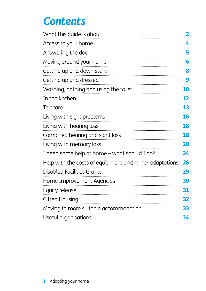### *Contents*

| What this guide is about                               | 2  |
|--------------------------------------------------------|----|
| Access to your home                                    | 4  |
| Answering the door                                     | 5  |
| Moving around your home                                | 6  |
| Getting up and down stairs                             | 8  |
| Getting up and dressed                                 | 9  |
| Washing, bathing and using the toilet                  | 10 |
| In the kitchen                                         | 12 |
| Telecare                                               | 13 |
| Living with sight problems                             | 16 |
| Living with hearing loss                               | 18 |
| Combined hearing and sight loss                        | 18 |
| Living with memory loss                                | 20 |
| I need some help at home - what should I do?           | 24 |
| Help with the costs of equipment and minor adaptations | 26 |
| <b>Disabled Facilities Grants</b>                      | 29 |
| Home Improvement Agencies                              | 30 |
| Equity release                                         | 31 |
| Gifted Housing                                         | 32 |
| Moving to more suitable accommodation                  | 33 |
| Useful organisations                                   | 34 |
|                                                        |    |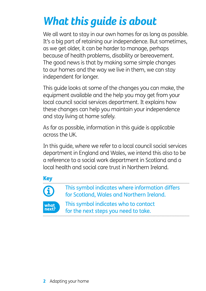### *What this guide is about*

We all want to stay in our own homes for as long as possible. It's a big part of retaining our independence. But sometimes, as we get older, it can be harder to manage, perhaps because of health problems, disability or bereavement. The good news is that by making some simple changes to our homes and the way we live in them, we can stay independent for longer.

This guide looks at some of the changes you can make, the equipment available and the help you may get from your local council social services department. It explains how these changes can help you maintain your independence and stay living at home safely.

As far as possible, information in this guide is applicable across the UK.

In this guide, where we refer to a local council social services department in England and Wales, we intend this also to be a reference to a social work department in Scotland and a local health and social care trust in Northern Ireland.

### Key



what next? This symbol indicates where information differs for Scotland, Wales and Northern Ireland.

This symbol indicates who to contact for the next steps you need to take.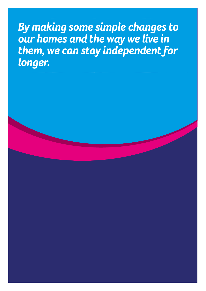### *By making some simple changes to our homes and the way we live in them, we can stay independent for longer.*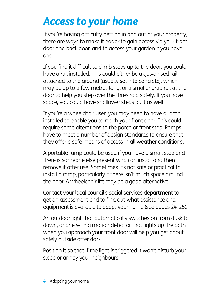### *Access to your home*

If you're having difficulty getting in and out of your property, there are ways to make it easier to gain access via your front door and back door, and to access your garden if you have one.

If you find it difficult to climb steps up to the door, you could have a rail installed. This could either be a galvanised rail attached to the ground (usually set into concrete), which may be up to a few metres long, or a smaller grab rail at the door to help you step over the threshold safely. If you have space, you could have shallower steps built as well.

If you're a wheelchair user, you may need to have a ramp installed to enable you to reach your front door. This could require some alterations to the porch or front step. Ramps have to meet a number of design standards to ensure that they offer a safe means of access in all weather conditions.

A portable ramp could be used if you have a small step and there is someone else present who can install and then remove it after use. Sometimes it's not safe or practical to install a ramp, particularly if there isn't much space around the door. A wheelchair lift may be a good alternative.

Contact your local council's social services department to get an assessment and to find out what assistance and equipment is available to adapt your home (see pages 24–25).

An outdoor light that automatically switches on from dusk to dawn, or one with a motion detector that lights up the path when you approach your front door will help you get about safely outside after dark.

Position it so that if the light is triggered it won't disturb your sleep or annoy your neighbours.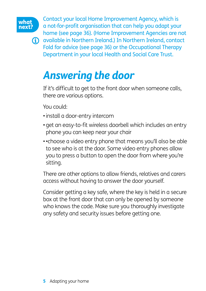

Contact your local Home Improvement Agency, which is a not-for-profit organisation that can help you adapt your home (see page 36). (Home Improvement Agencies are not

available in Northern Ireland.) In Northern Ireland, contact Fold for advice (see page 36) or the Occupational Therapy Department in your local Health and Social Care Trust.

### *Answering the door*

If it's difficult to get to the front door when someone calls, there are various options.

You could:

- •install a door-entry intercom
- get an easy-to-fit wireless doorbell which includes an entry phone you can keep near your chair
- ••choose a video entry phone that means you'll also be able to see who is at the door. Some video entry phones allow you to press a button to open the door from where you're sitting.

There are other options to allow friends, relatives and carers access without having to answer the door yourself.

Consider getting a key safe, where the key is held in a secure box at the front door that can only be opened by someone who knows the code. Make sure you thoroughly investigate any safety and security issues before getting one.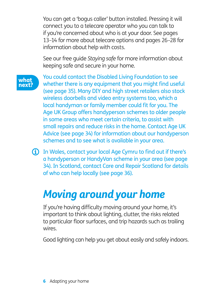You can get a 'bogus caller' button installed. Pressing it will connect you to a telecare operator who you can talk to if you're concerned about who is at your door. See pages 13–14 for more about telecare options and pages 26–28 for information about help with costs.

See our free guide *Staying safe* for more information about keeping safe and secure in your home.



You could contact the Disabled Living Foundation to see whether there is any equipment that you might find useful (see page 35). Many DIY and high street retailers also stock wireless doorbells and video entry systems too, which a local handyman or family member could fit for you. The Age UK Group offers handyperson schemes to older people in some areas who meet certain criteria, to assist with small repairs and reduce risks in the home. Contact Age UK Advice (see page 34) for information about our handyperson schemes and to see what is available in your area.

In Wales, contact your local Age Cymru to find out if there's a handyperson or HandyVan scheme in your area (see page 34). In Scotland, contact Care and Repair Scotland for details of who can help locally (see page 36).

### *Moving around your home*

If you're having difficulty moving around your home, it's important to think about lighting, clutter, the risks related to particular floor surfaces, and trip hazards such as trailing wires.

Good lighting can help you get about easily and safely indoors.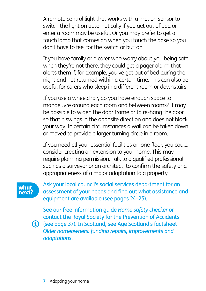A remote control light that works with a motion sensor to switch the light on automatically if you get out of bed or enter a room may be useful. Or you may prefer to get a touch lamp that comes on when you touch the base so you don't have to feel for the switch or button.

If you have family or a carer who worry about you being safe when they're not there, they could get a pager alarm that alerts them if, for example, you've got out of bed during the night and not returned within a certain time. This can also be useful for carers who sleep in a different room or downstairs.

If you use a wheelchair, do you have enough space to manoeuvre around each room and between rooms? It may be possible to widen the door frame or to re-hang the door so that it swings in the opposite direction and does not block your way. In certain circumstances a wall can be taken down or moved to provide a larger turning circle in a room.

If you need all your essential facilities on one floor, you could consider creating an extension to your home. This may require planning permission. Talk to a qualified professional, such as a surveyor or an architect, to confirm the safety and appropriateness of a major adaptation to a property.

#### what next?

Ask your local council's social services department for an assessment of your needs and find out what assistance and equipment are available (see pages 24–25).

See our free information guide *Home safety checker* or contact the Royal Society for the Prevention of Accidents

(see page 37). In Scotland, see Age Scotland's factsheet *Older homeowners: funding repairs, improvements and adaptations*.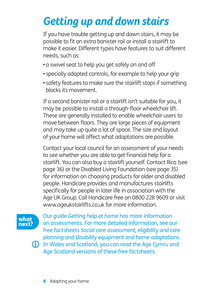### *Getting up and down stairs*

If you have trouble getting up and down stairs, it may be possible to fit an extra banister rail or install a stairlift to make it easier. Different types have features to suit different needs, such as:

- a swivel seat to help you get safely on and off
- specially adapted controls, for example to help your grip
- safety features to make sure the stairlift stops if something blocks its movement.

If a second banister rail or a stairlift isn't suitable for you, it may be possible to install a through-floor wheelchair lift. These are generally installed to enable wheelchair users to move between floors. They are large pieces of equipment and may take up quite a lot of space. The size and layout of your home will affect what adaptations are possible.

Contact your local council for an assessment of your needs to see whether you are able to get financial help for a stairlift. You can also buy a stairlift yourself. Contact Rica (see page 36) or the Disabled Living Foundation (see page 35) for information on choosing products for older and disabled people. Handicare provides and manufactures stairlifts specifically for people in later life in association with the Age UK Group. Call Handicare free on 0800 228 9609 or visit www.ageukstairlifts.co.uk for more information.



Our guide *Getting help at home* has more information on assessments. For more detailed information, see our free factsheets *Social care assessment, eligibility and care planning* and *Disability equipment and home adaptations*.

In Wales and Scotland, you can read the Age Cymru and Age Scotland versions of these free factsheets.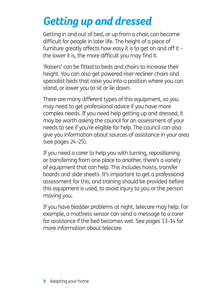### *Getting up and dressed*

Getting in and out of bed, or up from a chair, can become difficult for people in later life. The height of a piece of furniture greatly affects how easy it is to get on and off it – the lower it is, the more difficult you may find it.

'Raisers' can be fitted to beds and chairs to increase their height. You can also get powered riser-recliner chairs and specialist beds that raise you into a position where you can stand, or lower you to sit or lie down.

There are many different types of this equipment, so you may need to get professional advice if you have more complex needs. If you need help getting up and dressed, it may be worth asking the council for an assessment of your needs to see if you're eligible for help. The council can also give you information about sources of assistance in your area (see pages 24–25).

If you need a carer to help you with turning, repositioning or transferring from one place to another, there's a variety of equipment that can help. This includes hoists, transfer boards and slide sheets. It's important to get a professional assessment for this, and training should be provided before this equipment is used, to avoid injury to you or the person moving you.

If you have bladder problems at night, telecare may help. For example, a mattress sensor can send a message to a carer for assistance if the bed becomes wet. See pages 13–14 for more information about telecare.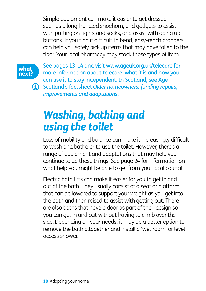Simple equipment can make it easier to get dressed – such as a long-handled shoehorn, and gadgets to assist with putting on tights and socks, and assist with doing up buttons. If you find it difficult to bend, easy-reach grabbers can help you safely pick up items that may have fallen to the floor. Your local pharmacy may stock these types of item.



See pages 13–14 and visit www.ageuk.org.uk/telecare for more information about telecare, what it is and how you can use it to stay independent. In Scotland, see Age Scotland's factsheet *Older homeowners: funding repairs,* 

*improvements and adaptations*.

### *Washing, bathing and using the toilet*

Loss of mobility and balance can make it increasingly difficult to wash and bathe or to use the toilet. However, there's a range of equipment and adaptations that may help you continue to do these things. See page 24 for information on what help you might be able to get from your local council.

Electric bath lifts can make it easier for you to get in and out of the bath. They usually consist of a seat or platform that can be lowered to support your weight as you get into the bath and then raised to assist with getting out. There are also baths that have a door as part of their design so you can get in and out without having to climb over the side. Depending on your needs, it may be a better option to remove the bath altogether and install a 'wet room' or levelaccess shower.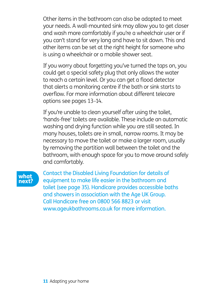Other items in the bathroom can also be adapted to meet your needs. A wall-mounted sink may allow you to get closer and wash more comfortably if you're a wheelchair user or if you can't stand for very long and have to sit down. This and other items can be set at the right height for someone who is using a wheelchair or a mobile shower seat.

If you worry about forgetting you've turned the taps on, you could get a special safety plug that only allows the water to reach a certain level. Or you can get a flood detector that alerts a monitoring centre if the bath or sink starts to overflow. For more information about different telecare options see pages 13–14.

If you're unable to clean yourself after using the toilet, 'hands-free' toilets are available. These include an automatic washing and drying function while you are still seated. In many houses, toilets are in small, narrow rooms. It may be necessary to move the toilet or make a larger room, usually by removing the partition wall between the toilet and the bathroom, with enough space for you to move around safely and comfortably.

#### what next?

Contact the Disabled Living Foundation for details of equipment to make life easier in the bathroom and toilet (see page 35). Handicare provides accessible baths and showers in association with the Age UK Group. Call Handicare free on 0800 566 8823 or visit www.ageukbathrooms.co.uk for more information.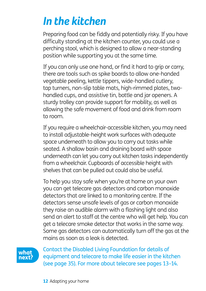### *In the kitchen*

Preparing food can be fiddly and potentially risky. If you have difficulty standing at the kitchen counter, you could use a perching stool, which is designed to allow a near-standing position while supporting you at the same time.

If you can only use one hand, or find it hard to grip or carry, there are tools such as spike boards to allow one-handed vegetable peeling, kettle tippers, wide-handled cutlery, tap turners, non-slip table mats, high-rimmed plates, twohandled cups, and assistive tin, bottle and jar openers. A sturdy trolley can provide support for mobility, as well as allowing the safe movement of food and drink from room to room.

If you require a wheelchair-accessible kitchen, you may need to install adjustable-height work surfaces with adequate space underneath to allow you to carry out tasks while seated. A shallow basin and draining board with space underneath can let you carry out kitchen tasks independently from a wheelchair. Cupboards of accessible height with shelves that can be pulled out could also be useful.

To help you stay safe when you're at home on your own you can get telecare gas detectors and carbon monoxide detectors that are linked to a monitoring centre. If the detectors sense unsafe levels of gas or carbon monoxide they raise an audible alarm with a flashing light and also send an alert to staff at the centre who will get help. You can get a telecare smoke detector that works in the same way. Some gas detectors can automatically turn off the gas at the mains as soon as a leak is detected.



Contact the Disabled Living Foundation for details of equipment and telecare to make life easier in the kitchen (see page 35). For more about telecare see pages 13–14.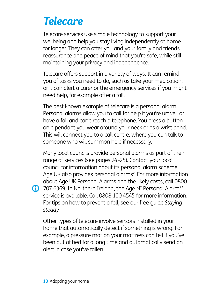### *Telecare*

Telecare services use simple technology to support your wellbeing and help you stay living independently at home for longer. They can offer you and your family and friends reassurance and peace of mind that you're safe, while still maintaining your privacy and independence.

Telecare offers support in a variety of ways. It can remind you of tasks you need to do, such as take your medication, or it can alert a carer or the emergency services if you might need help, for example after a fall.

The best known example of telecare is a personal alarm. Personal alarms allow you to call for help if you're unwell or have a fall and can't reach a telephone. You press a button on a pendant you wear around your neck or as a wrist band. This will connect you to a call centre, where you can talk to someone who will summon help if necessary.

Many local councils provide personal alarms as part of their range of services (see pages 24–25). Contact your local council for information about its personal alarm scheme. Age UK also provides personal alarms\*. For more information about Age UK Personal Alarms and the likely costs, call 0800 707 6369. In Northern Ireland, the Age NI Personal Alarm\*\* service is available. Call 0808 100 4545 for more information. For tips on how to prevent a fall, see our free guide *Staying steady*.

Other types of telecare involve sensors installed in your home that automatically detect if something is wrong. For example, a pressure mat on your mattress can tell if you've been out of bed for a long time and automatically send an alert in case you've fallen.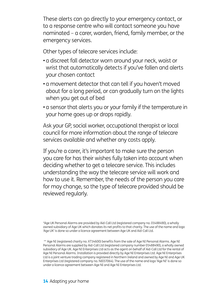These alerts can go directly to your emergency contact, or to a response centre who will contact someone you have nominated – a carer, warden, friend, family member, or the emergency services.

Other types of telecare services include:

- a discreet fall detector worn around your neck, waist or wrist that automatically detects if you've fallen and alerts your chosen contact
- a movement detector that can tell if you haven't moved about for a long period, or can gradually turn on the lights when you get out of bed
- a sensor that alerts you or your family if the temperature in your home goes up or drops rapidly.

Ask your GP, social worker, occupational therapist or local council for more information about the range of telecare services available and whether any costs apply.

If you're a carer, it's important to make sure the person you care for has their wishes fully taken into account when deciding whether to get a telecare service. This includes understanding the way the telecare service will work and how to use it. Remember, the needs of the person you care for may change, so the type of telecare provided should be reviewed regularly.

\*Age UK Personal Alarms are provided by Aid-Call Ltd (registered company no. 01488490), a wholly owned subsidiary of Age UK which donates its net profits to that charity. The use of the name and logo 'Age UK' is done so under a licence agreement between Age UK and Aid-Call Ltd.

 \*\* Age NI (registered charity no. XT14600) benefits from the sale of Age NI Personal Alarms. Age NI Personal Alarms are supplied by Aid-Call Ltd (registered company number 01488490), a wholly owned subsidiary of Age UK. Age NI Enterprises Ltd acts as the agent on behalf of Aid-Call Ltd for the rental of Age NI Personal Alarms. Installation is provided directly by Age NI Enterprises Ltd. Age NI Enterprises Ltd is a joint venture trading company registered in Northern Ireland and owned by Age NI and Age UK Enterprises Ltd (registered company no. NI037064). The use of the name and logo 'Age NI' is done so under a licence agreement between Age NI and Age NI Enterprises Ltd.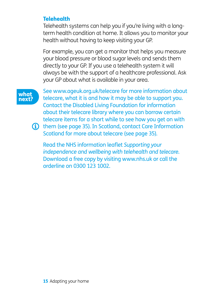#### **Telehealth**

Telehealth systems can help you if you're living with a longterm health condition at home. It allows you to monitor your health without having to keep visiting your GP.

For example, you can get a monitor that helps you measure your blood pressure or blood sugar levels and sends them directly to your GP. If you use a telehealth system it will always be with the support of a healthcare professional. Ask your GP about what is available in your area.

#### what next?

See www.ageuk.org.uk/telecare for more information about telecare, what it is and how it may be able to support you. Contact the Disabled Living Foundation for information about their telecare library where you can borrow certain telecare items for a short while to see how you get on with (i) them (see page 35). In Scotland, contact Care Information Scotland for more about telecare (see page 35).

Read the NHS information leaflet *Supporting your independence and wellbeing with telehealth and telecare*. Download a free copy by visiting www.nhs.uk or call the orderline on 0300 123 1002.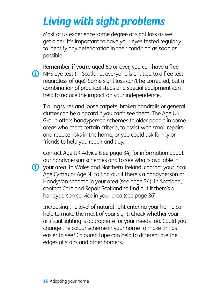### *Living with sight problems*

Most of us experience some degree of sight loss as we get older. It's important to have your eyes tested regularly to identify any deterioration in their condition as soon as possible.

Remember, if you're aged 60 or over, you can have a free NHS eye test (in Scotland, everyone is entitled to a free test, regardless of age). Some sight loss can't be corrected, but a combination of practical steps and special equipment can help to reduce the impact on your independence.

Trailing wires and loose carpets, broken handrails or general clutter can be a hazard if you can't see them. The Age UK Group offers handyperson schemes to older people in some areas who meet certain criteria, to assist with small repairs and reduce risks in the home, or you could ask family or friends to help you repair and tidy.

Contact Age UK Advice (see page 34) for information about our handyperson schemes and to see what's available in your area. In Wales and Northern Ireland, contact your local Age Cymru or Age NI to find out if there's a handyperson or HandyVan scheme in your area (see page 34). In Scotland, contact Care and Repair Scotland to find out if there's a handyperson service in your area (see page 36).

Increasing the level of natural light entering your home can help to make the most of your sight. Check whether your artificial lighting is appropriate for your needs too. Could you change the colour scheme in your home to make things easier to see? Coloured tape can help to differentiate the edges of stairs and other borders.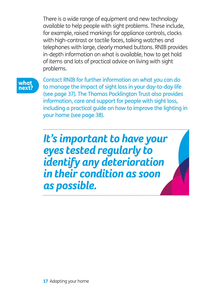There is a wide range of equipment and new technology available to help people with sight problems. These include, for example, raised markings for appliance controls, clocks with high-contrast or tactile faces, talking watches and telephones with large, clearly marked buttons. RNIB provides in-depth information on what is available, how to get hold of items and lots of practical advice on living with sight problems.



Contact RNIB for further information on what you can do to manage the impact of sight loss in your day-to-day life (see page 37). The Thomas Pocklington Trust also provides information, care and support for people with sight loss, including a practical guide on how to improve the lighting in your home (see page 38).

*It's important to have your eyes tested regularly to identify any deterioration in their condition as soon as possible.*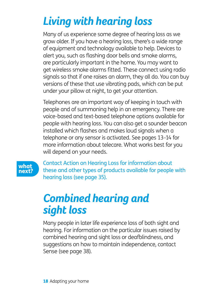### *Living with hearing loss*

Many of us experience some degree of hearing loss as we grow older. If you have a hearing loss, there's a wide range of equipment and technology available to help. Devices to alert you, such as flashing door bells and smoke alarms, are particularly important in the home. You may want to get wireless smoke alarms fitted. These connect using radio signals so that if one raises an alarm, they all do. You can buy versions of these that use vibrating pads, which can be put under your pillow at night, to get your attention.

Telephones are an important way of keeping in touch with people and of summoning help in an emergency. There are voice-based and text-based telephone options available for people with hearing loss. You can also get a sounder beacon installed which flashes and makes loud signals when a telephone or any sensor is activated. See pages 13–14 for more information about telecare. What works best for you will depend on your needs.



Contact Action on Hearing Loss for information about these and other types of products available for people with hearing loss (see page 35).

### *Combined hearing and sight loss*

Many people in later life experience loss of both sight and hearing. For information on the particular issues raised by combined hearing and sight loss or deafblindness, and suggestions on how to maintain independence, contact Sense (see page 38).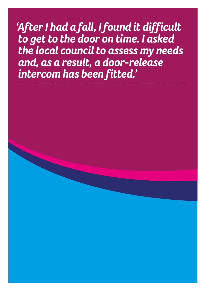*'After I had a fall, I found it difficult to get to the door on time. I asked the local council to assess my needs and, as a result, a door-release intercom has been fitted.'*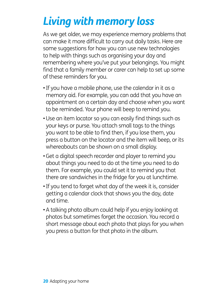### *Living with memory loss*

As we get older, we may experience memory problems that can make it more difficult to carry out daily tasks. Here are some suggestions for how you can use new technologies to help with things such as organising your day and remembering where you've put your belongings. You might find that a family member or carer can help to set up some of these reminders for you.

- •If you have a mobile phone, use the calendar in it as a memory aid. For example, you can add that you have an appointment on a certain day and choose when you want to be reminded. Your phone will beep to remind you.
- •Use an item locator so you can easily find things such as your keys or purse. You attach small tags to the things you want to be able to find then, if you lose them, you press a button on the locator and the item will beep, or its whereabouts can be shown on a small display.
- •Get a digital speech recorder and player to remind you about things you need to do at the time you need to do them. For example, you could set it to remind you that there are sandwiches in the fridge for you at lunchtime.
- •If you tend to forget what day of the week it is, consider getting a calendar clock that shows you the day, date and time.
- •A talking photo album could help if you enjoy looking at photos but sometimes forget the occasion. You record a short message about each photo that plays for you when you press a button for that photo in the album.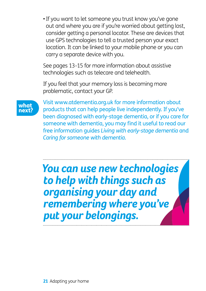•If you want to let someone you trust know you've gone out and where you are if you're worried about getting lost, consider getting a personal locator. These are devices that use GPS technologies to tell a trusted person your exact location. It can be linked to your mobile phone or you can carry a separate device with you.

See pages 13–15 for more information about assistive technologies such as telecare and telehealth.

If you feel that your memory loss is becoming more problematic, contact your GP.

#### what next?

Visit www.atdementia.org.uk for more information about products that can help people live independently. If you've been diagnosed with early-stage dementia, or if you care for someone with dementia, you may find it useful to read our free information guides *Living with early-stage dementia* and *Caring for someone with dementia*.

*You can use new technologies to help with things such as organising your day and remembering where you've put your belongings.*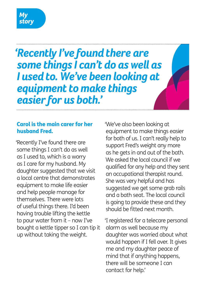*'Recently I've found there are some things I can't do as well as I used to. We've been looking at equipment to make things easier for us both.'*

#### Carol is the main carer for her husband Fred.

'Recently I've found there are some things I can't do as well as I used to, which is a worry as I care for my husband. My daughter suggested that we visit a local centre that demonstrates equipment to make life easier and help people manage for themselves. There were lots of useful things there. I'd been having trouble lifting the kettle to pour water from it – now I've bought a kettle tipper so I can tip it up without taking the weight.

'We've also been looking at equipment to make things easier for both of us. I can't really help to support Fred's weight any more as he gets in and out of the bath. We asked the local council if we qualified for any help and they sent an occupational therapist round. She was very helpful and has suggested we get some grab rails and a bath seat. The local council is going to provide these and they should be fitted next month.

'I registered for a telecare personal alarm as well because my daughter was worried about what would happen if I fell over. It gives me and my daughter peace of mind that if anything happens, there will be someone I can contact for help.'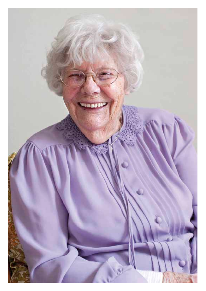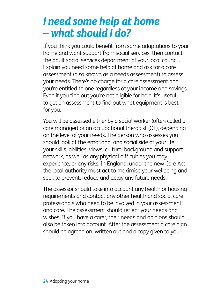### *I need some help at home – what should I do?*

If you think you could benefit from some adaptations to your home and want support from social services, then contact the adult social services department of your local council. Explain you need some help at home and ask for a care assessment (also known as a needs assessment) to assess your needs. There's no charge for a care assessment and you're entitled to one regardless of your income and savings. Even if you find out you're not eligible for help, it's useful to get an assessment to find out what equipment is best for you.

You will be assessed either by a social worker (often called a care manager) or an occupational therapist (OT), depending on the level of your needs. The person who assesses you should look at the emotional and social side of your life, your skills, abilities, views, cultural background and support network, as well as any physical difficulties you may experience, or any risks. In England, under the new Care Act, the local authority must act to maximise your wellbeing and seek to prevent, reduce and delay any future needs.

The assessor should take into account any health or housing requirements and contact any other health and social care professionals who need to be involved in your assessment and care. The assessment should reflect your needs and wishes. If you have a carer, their needs and opinions should also be taken into account. After the assessment a care plan should be agreed on, written out and a copy given to you.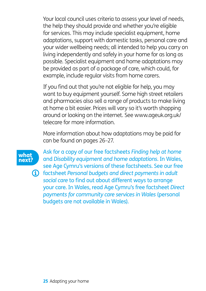Your local council uses criteria to assess your level of needs, the help they should provide and whether you're eligible for services. This may include specialist equipment, home adaptations, support with domestic tasks, personal care and your wider wellbeing needs; all intended to help you carry on living independently and safely in your home for as long as possible. Specialist equipment and home adaptations may be provided as part of a package of care, which could, for example, include regular visits from home carers.

If you find out that you're not eligible for help, you may want to buy equipment yourself. Some high street retailers and pharmacies also sell a range of products to make living at home a bit easier. Prices will vary so it's worth shopping around or looking on the internet. See www.ageuk.org.uk/ telecare for more information.

More information about how adaptations may be paid for can be found on pages 26–27.



Ask for a copy of our free factsheets *Finding help at home*  and *Disability equipment and home adaptations*. In Wales, see Age Cymru's versions of these factsheets. See our free factsheet *Personal budgets and direct payments in adult social care* to find out about different ways to arrange your care. In Wales, read Age Cymru's free factsheet *Direct payments for community care services in Wales* (personal budgets are not available in Wales).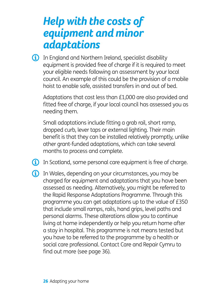### *Help with the costs of equipment and minor adaptations*

In England and Northern Ireland, specialist disability equipment is provided free of charge if it is required to meet your eligible needs following an assessment by your local council. An example of this could be the provision of a mobile hoist to enable safe, assisted transfers in and out of bed.

Adaptations that cost less than £1,000 are also provided and fitted free of charge, if your local council has assessed you as needing them.

Small adaptations include fitting a grab rail, short ramp, dropped curb, lever taps or external lighting. Their main benefit is that they can be installed relatively promptly, unlike other grant-funded adaptations, which can take several months to process and complete.

- In Scotland, some personal care equipment is free of charge.
- **i**) In Wales, depending on your circumstances, you may be charged for equipment and adaptations that you have been assessed as needing. Alternatively, you might be referred to the Rapid Response Adaptations Programme. Through this programme you can get adaptations up to the value of £350 that include small ramps, rails, hand grips, level paths and personal alarms. These alterations allow you to continue living at home independently or help you return home after a stay in hospital. This programme is not means tested but you have to be referred to the programme by a health or social care professional. Contact Care and Repair Cymru to find out more (see page 36).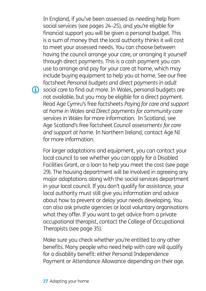In England, if you've been assessed as needing help from social services (see pages 24–25), and you're eligible for financial support you will be given a personal budget. This is a sum of money that the local authority thinks it will cost to meet your assessed needs. You can choose between having the council arrange your care, or arranging it yourself through direct payments. This is a cash payment you can use to arrange and pay for your care at home, which may include buying equipment to help you at home. See our free factsheet *Personal budgets and direct payments in adult social care* to find out more. In Wales, personal budgets are not available, but you may be eligible for a direct payment. Read Age Cymru's free factsheets *Paying for care and support at home in Wales* and *Direct payments for community care services in Wales* for more information. In Scotland, see Age Scotland's free factsheet *Council assessments for care and support at home*. In Northern Ireland, contact Age NI

For larger adaptations and equipment, you can contact your local council to see whether you can apply for a Disabled Facilities Grant, or a loan to help you meet the cost (see page 29). The housing department will be involved in agreeing any major adaptations along with the social services department in your local council. If you don't qualify for assistance, your local authority must still give you information and advice about how to prevent or delay your needs developing. You can also ask private agencies or local voluntary organisations what they offer. If you want to get advice from a private occupational therapist, contact the College of Occupational Therapists (see page 35).

Make sure you check whether you're entitled to any other benefits. Many people who need help with care will qualify for a disability benefit: either Personal Independence Payment or Attendance Allowance depending on their age.

for more information.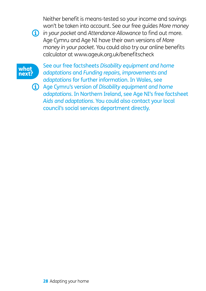Neither benefit is means-tested so your income and savings won't be taken into account. See our free guides *More money* 

*in your pocket* and *Attendance Allowance* to find out more. Age Cymru and Age NI have their own versions of *More money in your pocket*. You could also try our online benefits calculator at www.ageuk.org.uk/benefitscheck



See our free factsheets *Disability equipment and home adaptations* and *Funding repairs, improvements and adaptations* for further information. In Wales, see

Age Cymru's version of *Disability equipment and home adaptations*. In Northern Ireland, see Age NI's free factsheet *Aids and adaptations*. You could also contact your local council's social services department directly.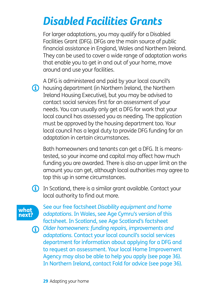### *Disabled Facilities Grants*

For larger adaptations, you may qualify for a Disabled Facilities Grant (DFG). DFGs are the main source of public financial assistance in England, Wales and Northern Ireland. They can be used to cover a wide range of adaptation works that enable you to get in and out of your home, move around and use your facilities.

A DFG is administered and paid by your local council's housing department (in Northern Ireland, the Northern Ireland Housing Executive), but you may be advised to contact social services first for an assessment of your needs. You can usually only get a DFG for work that your local council has assessed you as needing. The application must be approved by the housing department too. Your local council has a legal duty to provide DFG funding for an adaptation in certain circumstances.

Both homeowners and tenants can get a DFG. It is meanstested, so your income and capital may affect how much funding you are awarded. There is also an upper limit on the amount you can get, although local authorities may agree to top this up in some circumstances.

In Scotland, there is a similar grant available. Contact your local authority to find out more.

#### what next?

See our free factsheet *Disability equipment and home adaptations*. In Wales, see Age Cymru's version of this factsheet. In Scotland, see Age Scotland's factsheet

*Older homeowners: funding repairs, improvements and adaptations.* Contact your local council's social services department for information about applying for a DFG and to request an assessment. Your local Home Improvement Agency may also be able to help you apply (see page 36). In Northern Ireland, contact Fold for advice (see page 36).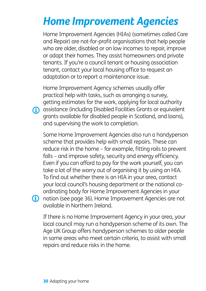### *Home Improvement Agencies*

Home Improvement Agencies (HIAs) (sometimes called Care and Repair) are not-for-profit organisations that help people who are older, disabled or on low incomes to repair, improve or adapt their homes. They assist homeowners and private tenants. If you're a council tenant or housing association tenant, contact your local housing office to request an adaptation or to report a maintenance issue.

Home Improvement Agency schemes usually offer practical help with tasks, such as arranging a survey, getting estimates for the work, applying for local authority assistance (including Disabled Facilities Grants or equivalent grants available for disabled people in Scotland, and loans), and supervising the work to completion.

Some Home Improvement Agencies also run a handyperson scheme that provides help with small repairs. These can reduce risk in the home – for example, fitting rails to prevent falls – and improve safety, security and energy efficiency. Even if you can afford to pay for the work yourself, you can take a lot of the worry out of organising it by using an HIA. To find out whether there is an HIA in your area, contact your local council's housing department or the national coordinating body for Home Improvement Agencies in your nation (see page 36). Home Improvement Agencies are not available in Northern Ireland.

If there is no Home Improvement Agency in your area, your local council may run a handyperson scheme of its own. The Age UK Group offers handyperson schemes to older people in some areas who meet certain criteria, to assist with small repairs and reduce risks in the home.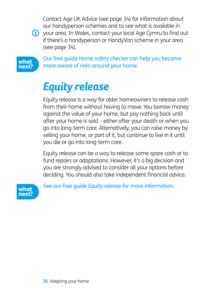Contact Age UK Advice (see page 34) for information about our handyperson schemes and to see what is available in



your area. In Wales, contact your local Age Cymru to find out if there's a handyperson or HandyVan scheme in your area (see page 34).



Our free guide *Home safety checker* can help you become more aware of risks around your home.

### *Equity release*

Equity release is a way for older homeowners to release cash from their home without having to move. You borrow money against the value of your home, but pay nothing back until after your home is sold – either after your death or when you go into long-term care. Alternatively, you can raise money by selling your home, or part of it, but continue to live in it until you die or go into long-term care.

Equity release can be a way to release some spare cash or to fund repairs or adaptations. However, it's a big decision and you are strongly advised to consider all your options before deciding. You should also take independent financial advice.



See our free guide *Equity release* for more information.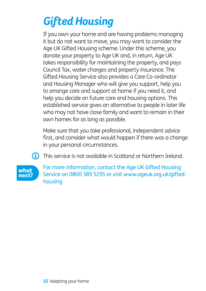## *Gifted Housing*

If you own your home and are having problems managing it but do not want to move, you may want to consider the Age UK Gifted Housing scheme. Under this scheme, you donate your property to Age UK and, in return, Age UK takes responsibility for maintaining the property, and pays Council Tax, water charges and property insurance. The Gifted Housing Service also provides a Care Co-ordinator and Housing Manager who will give you support, help you to arrange care and support at home if you need it, and help you decide on future care and housing options. This established service gives an alternative to people in later life who may not have close family and want to remain in their own homes for as long as possible.

Make sure that you take professional, independent advice first, and consider what would happen if there was a change in your personal circumstances.

This service is not available in Scotland or Northern Ireland.



For more information, contact the Age UK Gifted Housing Service on 0800 389 5295 or visit www.ageuk.org.uk/giftedhousing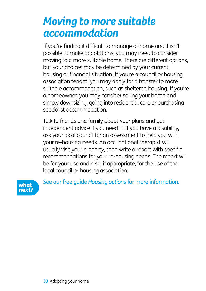### *Moving to more suitable accommodation*

If you're finding it difficult to manage at home and it isn't possible to make adaptations, you may need to consider moving to a more suitable home. There are different options, but your choices may be determined by your current housing or financial situation. If you're a council or housing association tenant, you may apply for a transfer to more suitable accommodation, such as sheltered housing. If you're a homeowner, you may consider selling your home and simply downsizing, going into residential care or purchasing specialist accommodation.

Talk to friends and family about your plans and get independent advice if you need it. If you have a disability, ask your local council for an assessment to help you with your re-housing needs. An occupational therapist will usually visit your property, then write a report with specific recommendations for your re-housing needs. The report will be for your use and also, if appropriate, for the use of the local council or housing association.



See our free guide *Housing options* for more information. what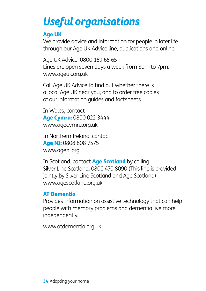## *Useful organisations*

### Age UK

We provide advice and information for people in later life through our Age UK Advice line, publications and online.

Age UK Advice: 0800 169 65 65 Lines are open seven days a week from 8am to 7pm. www.ageuk.org.uk

Call Age UK Advice to find out whether there is a local Age UK near you, and to order free copies of our information guides and factsheets.

In Wales, contact Age Cymru: 0800 022 3444 www.agecymru.org.uk

In Northern Ireland, contact Age NI: 0808 808 7575 www.ageni.org

In Scotland, contact **Age Scotland** by calling Silver Line Scotland: 0800 470 8090 (This line is provided jointly by Silver Line Scotland and Age Scotland) www.agescotland.org.uk

### AT Dementia

Provides information on assistive technology that can help people with memory problems and dementia live more independently.

www.atdementia.org.uk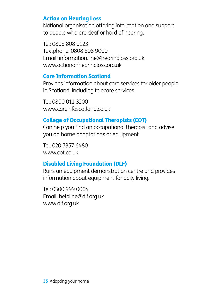#### Action on Hearing Loss

National organisation offering information and support to people who are deaf or hard of hearing.

Tel: 0808 808 0123 Textphone: 0808 808 9000 Email: information.line@hearingloss.org.uk www.actiononhearingloss.org.uk

#### Care Information Scotland

Provides information about care services for older people in Scotland, including telecare services.

Tel: 0800 011 3200 www.careinfoscotland.co.uk

#### College of Occupational Therapists (COT)

Can help you find an occupational therapist and advise you on home adaptations or equipment.

Tel: 020 7357 6480 www.cot.co.uk

#### Disabled Living Foundation (DLF)

Runs an equipment demonstration centre and provides information about equipment for daily living.

Tel: 0300 999 0004 Email: helpline@dlf.org.uk www.dlf.org.uk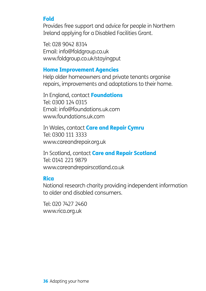### Fold

Provides free support and advice for people in Northern Ireland applying for a Disabled Facilities Grant.

Tel: 028 9042 8314 Email: info@foldgroup.co.uk www.foldgroup.co.uk/stayingput

#### Home Improvement Agencies

Help older homeowners and private tenants organise repairs, improvements and adaptations to their home.

In England, contact **Foundations** Tel: 0300 124 0315 Email: info@foundations.uk.com www.foundations.uk.com

In Wales, contact **Care and Repair Cymru** Tel: 0300 111 3333 www.careandrepair.org.uk

In Scotland, contact Care and Repair Scotland Tel: 0141 221 9879 www.careandrepairscotland.co.uk

### **Rica**

National research charity providing independent information to older and disabled consumers.

Tel: 020 7427 2460 www.rica.org.uk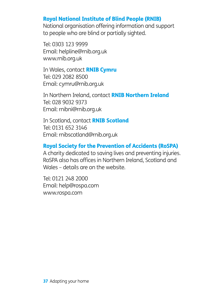#### Royal National Institute of Blind People (RNIB)

National organisation offering information and support to people who are blind or partially sighted.

Tel: 0303 123 9999 Email: helpline@rnib.org.uk www.rnib.org.uk

In Wales, contact **RNIB Cymru** Tel: 029 2082 8500 Email: cymru@rnib.org.uk

In Northern Ireland, contact **RNIB Northern Ireland** Tel: 028 9032 9373 Email: rnibni@rnib.org.uk

In Scotland, contact **RNIB Scotland** Tel: 0131 652 3146 Email: rnibscotland@rnib.org.uk

#### Royal Society for the Prevention of Accidents (RoSPA)

A charity dedicated to saving lives and preventing injuries. RoSPA also has offices in Northern Ireland, Scotland and Wales – details are on the website.

Tel: 0121 248 2000 Email: help@rospa.com www.rospa.com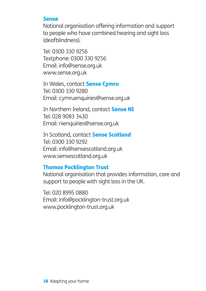#### Sense

National organisation offering information and support to people who have combined hearing and sight loss (deafblindness).

Tel: 0300 330 9256 Textphone: 0300 330 9256 Email: info@sense.org.uk www.sense.org.uk

In Wales, contact **Sense Cymru** Tel: 0300 330 9280 Email: cymruenquiries@sense.org.uk

In Northern Ireland, contact Sense NI Tel: 028 9083 3430 Email: nienquiries@sense.org.uk

In Scotland, contact **Sense Scotland** Tel: 0300 330 9292 Email: info@sensescotland.org.uk www.sensescotland.org.uk

#### Thomas Pocklington Trust

National organisation that provides information, care and support to people with sight loss in the UK.

Tel: 020 8995 0880 Email: info@pocklington-trust.org.uk www.pocklington-trust.org.uk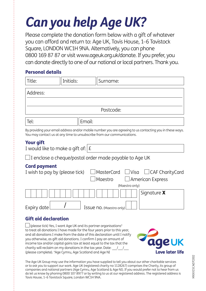# *Can you help Age UK?*

Please complete the donation form below with a gift of whatever you can afford and return to: Age UK, Tavis House, 1–6 Tavistock Square, LONDON WC1H 9NA. Alternatively, you can phone 0800 169 87 87 or visit www.ageuk.org.uk/donate. If you prefer, you can donate directly to one of our national or local partners. Thank you.

#### Personal details

| Title:   | Initials: | Surname:  |
|----------|-----------|-----------|
| Address: |           |           |
|          |           |           |
|          |           | Postcode: |
| $ $ Tel: | Email:    |           |

By providing your email address and/or mobile number you are agreeing to us contacting you in these ways. You may contact us at any time to unsubscribe from our communications.

#### Your aift

| I would like to make a gift of: $ E $                 |                                                                             |
|-------------------------------------------------------|-----------------------------------------------------------------------------|
|                                                       | $\Box$ I enclose a cheque/postal order made payable to Age UK               |
| <b>Card payment</b><br>I wish to pay by (please tick) | ■ MasterCard ■ Visa ■ CAF CharityCard<br>$\Box$ American Express<br>Maestro |
|                                                       | (Maestro only)<br>Signature X                                               |
| Expiry date                                           | Issue no. (Maestro only)                                                    |

### Gift aid declaration

 (please tick) Yes, I want Age UK and its partner organisations\* to treat all donations I have made for the four years prior to this year, and all donations I make from the date of this declaration until I notify you otherwise, as gift aid donations. I confirm I pay an amount of income tax and/or capital gains tax at least equal to the tax that the charity will reclaim on my donations in the tax year. Date:  $\frac{1}{1}$ (please complete). \*Age Cymru, Age Scotland and Age NI



The Age UK Group may use the information you have supplied to tell you about our other charitable services or to ask you to support our work. Age UK (registered charity no 1128267) comprises the Charity, its group of companies and national partners (Age Cymru, Age Scotland & Age NI). If you would prefer not to hear from us do let us know by phoning 0800 107 8977 or by writing to us at our registered address. The registered address is Tavis House, 1–6 Tavistock Square, London WC1H 9NA.

AXXX15CA07C002 MXXX15CA07C002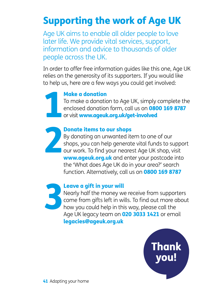### Supporting the work of Age UK

Age UK aims to enable all older people to love later life. We provide vital services, support, information and advice to thousands of older people across the UK.

In order to offer free information guides like this one, Age UK relies on the generosity of its supporters. If you would like to help us, here are a few ways you could get involved:



#### Make a donation

To make a donation to Age UK, simply complete the enclosed donation form, call us on 0800 169 8787 or visit www.aqeuk.org.uk/get-involved



#### Donate items to our shops

By donating an unwanted item to one of our shops, you can help generate vital funds to support our work. To find your nearest Age UK shop, visit www.ageuk.org.uk and enter your postcode into the 'What does Age UK do in your area?' search function. Alternatively, call us on 0800 169 8787



#### Leave a gift in your will

Nearly half the money we receive from supporters come from gifts left in wills. To find out more about how you could help in this way, please call the Age UK legacy team on **020 3033 1421** or email legacies@ageuk.org.uk